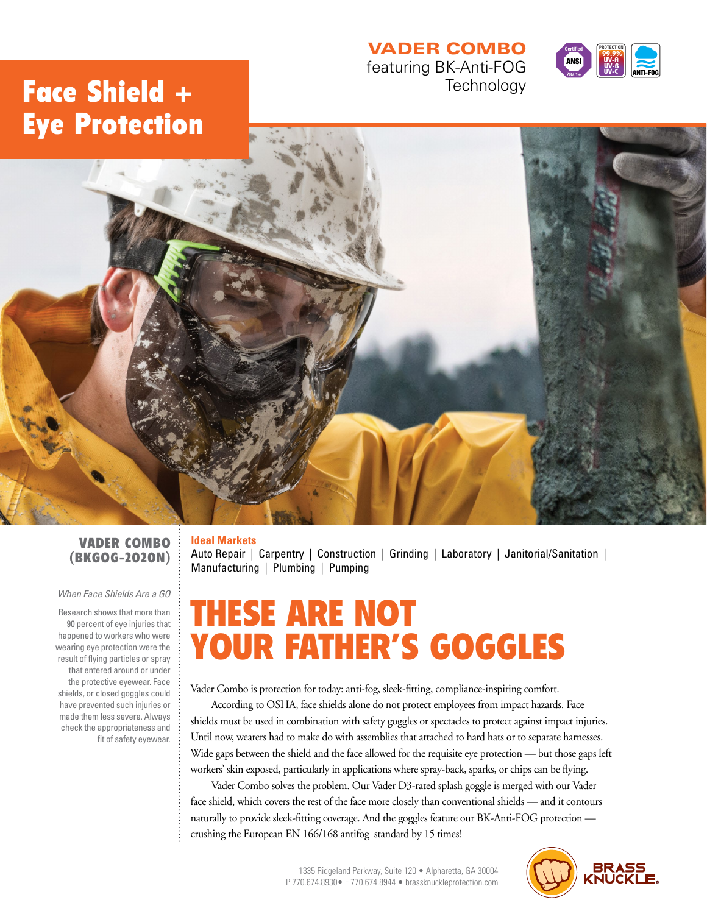## VADER COMBO featuring BK-Anti-FOG

**Technology** 



## Face Shield + Eye Protection



## VADER COMBO (BKGOG-2020N)

#### *When Face Shields Are a GO*

Research shows that more than 90 percent of eye injuries that happened to workers who were wearing eye protection were the result of flying particles or spray that entered around or under the protective eyewear. Face shields, or closed goggles could have prevented such injuries or made them less severe. Always check the appropriateness and fit of safety eyewear.

## **Ideal Markets**

Auto Repair | Carpentry | Construction | Grinding | Laboratory | Janitorial/Sanitation | Manufacturing | Plumbing | Pumping

# THESE ARE NOT YOUR FATHER'S GOGGLES

Vader Combo is protection for today: anti-fog, sleek-fitting, compliance-inspiring comfort.

According to OSHA, face shields alone do not protect employees from impact hazards. Face shields must be used in combination with safety goggles or spectacles to protect against impact injuries. Until now, wearers had to make do with assemblies that attached to hard hats or to separate harnesses. Wide gaps between the shield and the face allowed for the requisite eye protection — but those gaps left workers' skin exposed, particularly in applications where spray-back, sparks, or chips can be flying.

Vader Combo solves the problem. Our Vader D3-rated splash goggle is merged with our Vader face shield, which covers the rest of the face more closely than conventional shields — and it contours naturally to provide sleek-fitting coverage. And the goggles feature our BK-Anti-FOG protection crushing the European EN 166/168 antifog standard by 15 times!